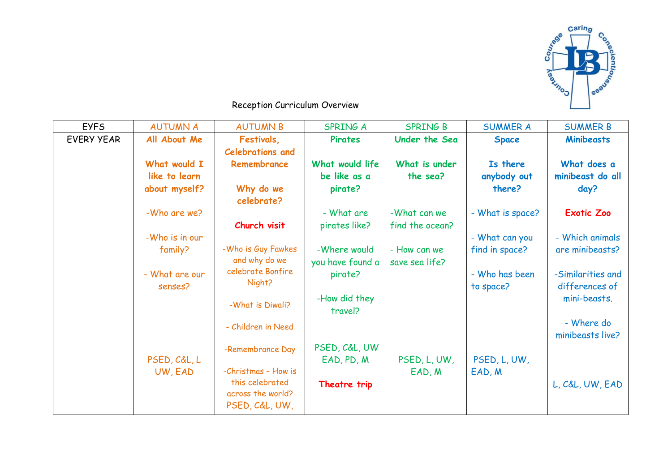

## Reception Curriculum Overview

| <b>EYFS</b>       | <b>AUTUMN A</b> | <b>AUTUMN B</b>             | <b>SPRING A</b>          | <b>SPRING B</b> | <b>SUMMER A</b>  | <b>SUMMER B</b>   |
|-------------------|-----------------|-----------------------------|--------------------------|-----------------|------------------|-------------------|
| <b>EVERY YEAR</b> | All About Me    | Festivals,                  | Pirates                  | Under the Sea   | <b>Space</b>     | <b>Minibeasts</b> |
|                   |                 | <b>Celebrations and</b>     |                          |                 |                  |                   |
|                   | What would I    | Remembrance                 | What would life          | What is under   | Is there         | What does a       |
|                   | like to learn   |                             | be like as a             | the sea?        | anybody out      | minibeast do all  |
|                   | about myself?   | Why do we<br>celebrate?     | pirate?                  |                 | there?           | day?              |
|                   | -Who are we?    |                             | - What are               | -What can we    | - What is space? | <b>Exotic Zoo</b> |
|                   |                 | Church visit                | pirates like?            | find the ocean? |                  |                   |
|                   | -Who is in our  |                             |                          |                 | - What can you   | - Which animals   |
|                   | family?         | -Who is Guy Fawkes          | -Where would             | - How can we    | find in space?   | are minibeasts?   |
|                   |                 | and why do we               | you have found a         | save sea life?  |                  |                   |
|                   | - What are our  | celebrate Bonfire<br>Night? | pirate?                  |                 | - Who has been   | -Similarities and |
|                   | senses?         |                             |                          |                 | to space?        | differences of    |
|                   |                 | -What is Diwali?            | -How did they<br>travel? |                 |                  | mini-beasts.      |
|                   |                 | - Children in Need          |                          |                 |                  | - Where do        |
|                   |                 |                             |                          |                 |                  | minibeasts live?  |
|                   |                 | -Remembrance Day            | PSED, C&L, UW            |                 |                  |                   |
|                   | PSED, C&L, L    |                             | EAD, PD, M               | PSED, L, UW,    | PSED, L, UW,     |                   |
|                   | UW, EAD         | -Christmas - How is         |                          | EAD, M          | EAD, M           |                   |
|                   |                 | this celebrated             | Theatre trip             |                 |                  | L, C&L, UW, EAD   |
|                   |                 | across the world?           |                          |                 |                  |                   |
|                   |                 | PSED, C&L, UW,              |                          |                 |                  |                   |